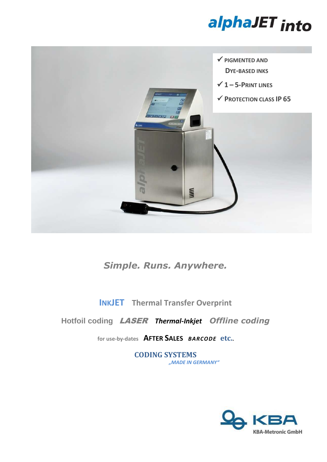



## *Simple. Runs. Anywhere.*

**INKJET Thermal Transfer Overprint**

**Hotfoil coding** LASER *Thermal-Inkjet**Offline coding*

**for use-by-dates AFTER SALES** *BARCODE* **etc..** 

**CODING SYSTEMS** *"MADE IN GERMANY"*